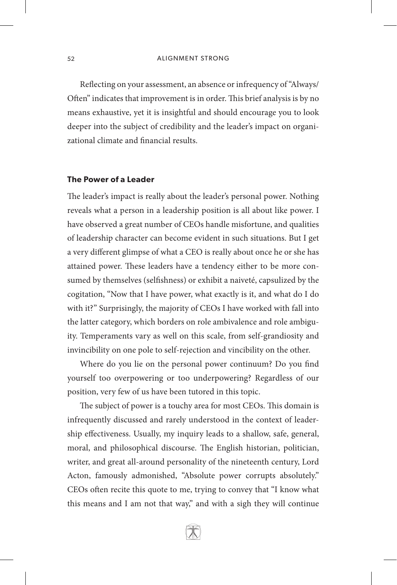Refecting on your assessment, an absence or infrequency of "Always/ Often" indicates that improvement is in order. This brief analysis is by no means exhaustive, yet it is insightful and should encourage you to look deeper into the subject of credibility and the leader's impact on organizational climate and fnancial results.

## **The Power of a Leader**

The leader's impact is really about the leader's personal power. Nothing reveals what a person in a leadership position is all about like power. I have observed a great number of CEOs handle misfortune, and qualities of leadership character can become evident in such situations. But I get a very diferent glimpse of what a CEO is really about once he or she has attained power. These leaders have a tendency either to be more consumed by themselves (selfshness) or exhibit a naiveté, capsulized by the cogitation, "Now that I have power, what exactly is it, and what do I do with it?" Surprisingly, the majority of CEOs I have worked with fall into the latter category, which borders on role ambivalence and role ambiguity. Temperaments vary as well on this scale, from self-grandiosity and invincibility on one pole to self-rejection and vincibility on the other.

Where do you lie on the personal power continuum? Do you fnd yourself too overpowering or too underpowering? Regardless of our position, very few of us have been tutored in this topic.

The subject of power is a touchy area for most CEOs. This domain is infrequently discussed and rarely understood in the context of leadership efectiveness. Usually, my inquiry leads to a shallow, safe, general, moral, and philosophical discourse. The English historian, politician, writer, and great all-around personality of the nineteenth century, Lord Acton, famously admonished, "Absolute power corrupts absolutely." CEOs ofen recite this quote to me, trying to convey that "I know what this means and I am not that way," and with a sigh they will continue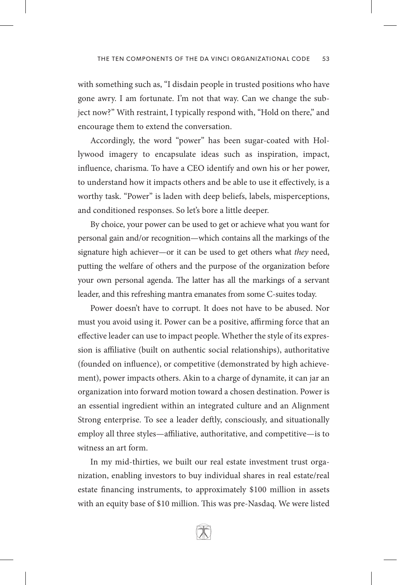with something such as, "I disdain people in trusted positions who have gone awry. I am fortunate. I'm not that way. Can we change the subject now?" With restraint, I typically respond with, "Hold on there," and encourage them to extend the conversation.

Accordingly, the word "power" has been sugar-coated with Hollywood imagery to encapsulate ideas such as inspiration, impact, infuence, charisma. To have a CEO identify and own his or her power, to understand how it impacts others and be able to use it efectively, is a worthy task. "Power" is laden with deep beliefs, labels, misperceptions, and conditioned responses. So let's bore a little deeper.

By choice, your power can be used to get or achieve what you want for personal gain and/or recognition—which contains all the markings of the signature high achiever—or it can be used to get others what *they* need, putting the welfare of others and the purpose of the organization before your own personal agenda. The latter has all the markings of a servant leader, and this refreshing mantra emanates from some C-suites today.

Power doesn't have to corrupt. It does not have to be abused. Nor must you avoid using it. Power can be a positive, affirming force that an efective leader can use to impact people. Whether the style of its expression is afliative (built on authentic social relationships), authoritative (founded on infuence), or competitive (demonstrated by high achievement), power impacts others. Akin to a charge of dynamite, it can jar an organization into forward motion toward a chosen destination. Power is an essential ingredient within an integrated culture and an Alignment Strong enterprise. To see a leader defly, consciously, and situationally employ all three styles—affiliative, authoritative, and competitive—is to witness an art form.

In my mid-thirties, we built our real estate investment trust organization, enabling investors to buy individual shares in real estate/real estate fnancing instruments, to approximately \$100 million in assets with an equity base of \$10 million. This was pre-Nasdaq. We were listed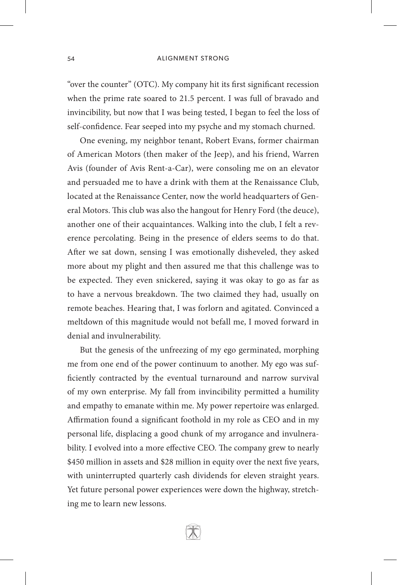## 54 ALIGNMENT STRONG

"over the counter" (OTC). My company hit its frst signifcant recession when the prime rate soared to 21.5 percent. I was full of bravado and invincibility, but now that I was being tested, I began to feel the loss of self-confdence. Fear seeped into my psyche and my stomach churned.

One evening, my neighbor tenant, Robert Evans, former chairman of American Motors (then maker of the Jeep), and his friend, Warren Avis (founder of Avis Rent-a-Car), were consoling me on an elevator and persuaded me to have a drink with them at the Renaissance Club, located at the Renaissance Center, now the world headquarters of General Motors. This club was also the hangout for Henry Ford (the deuce), another one of their acquaintances. Walking into the club, I felt a reverence percolating. Being in the presence of elders seems to do that. Afer we sat down, sensing I was emotionally disheveled, they asked more about my plight and then assured me that this challenge was to be expected. They even snickered, saying it was okay to go as far as to have a nervous breakdown. The two claimed they had, usually on remote beaches. Hearing that, I was forlorn and agitated. Convinced a meltdown of this magnitude would not befall me, I moved forward in denial and invulnerability.

But the genesis of the unfreezing of my ego germinated, morphing me from one end of the power continuum to another. My ego was suffciently contracted by the eventual turnaround and narrow survival of my own enterprise. My fall from invincibility permitted a humility and empathy to emanate within me. My power repertoire was enlarged. Afrmation found a signifcant foothold in my role as CEO and in my personal life, displacing a good chunk of my arrogance and invulnerability. I evolved into a more effective CEO. The company grew to nearly \$450 million in assets and \$28 million in equity over the next five years, with uninterrupted quarterly cash dividends for eleven straight years. Yet future personal power experiences were down the highway, stretching me to learn new lessons.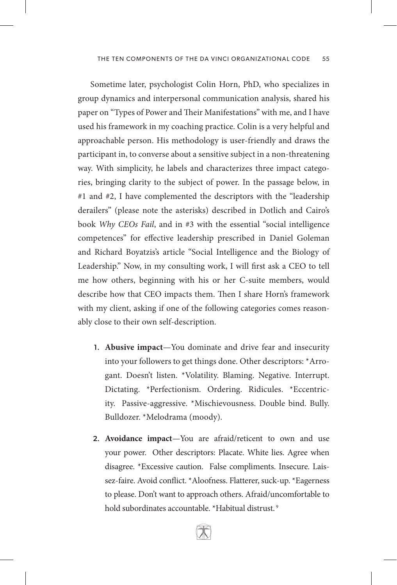Sometime later, psychologist Colin Horn, PhD, who specializes in group dynamics and interpersonal communication analysis, shared his paper on "Types of Power and Their Manifestations" with me, and I have used his framework in my coaching practice. Colin is a very helpful and approachable person. His methodology is user-friendly and draws the participant in, to converse about a sensitive subject in a non-threatening way. With simplicity, he labels and characterizes three impact categories, bringing clarity to the subject of power. In the passage below, in #1 and #2, I have complemented the descriptors with the "leadership derailers" (please note the asterisks) described in Dotlich and Cairo's book *Why CEOs Fail*, and in #3 with the essential "social intelligence competences" for efective leadership prescribed in Daniel Goleman and Richard Boyatzis's article "Social Intelligence and the Biology of Leadership." Now, in my consulting work, I will frst ask a CEO to tell me how others, beginning with his or her C-suite members, would describe how that CEO impacts them. Then I share Horn's framework with my client, asking if one of the following categories comes reasonably close to their own self-description.

- 1. **Abusive impact**—You dominate and drive fear and insecurity into your followers to get things done. Other descriptors: \*Arrogant. Doesn't listen. \*Volatility. Blaming. Negative. Interrupt. Dictating. \*Perfectionism. Ordering. Ridicules. \*Eccentricity. Passive-aggressive. \*Mischievousness. Double bind. Bully. Bulldozer. \*Melodrama (moody).
- 2. **Avoidance impact**—You are afraid/reticent to own and use your power. Other descriptors: Placate. White lies. Agree when disagree. \*Excessive caution. False compliments. Insecure. Laissez-faire. Avoid confict. \*Aloofness. Flatterer, suck-up. \*Eagerness to please. Don't want to approach others. Afraid/uncomfortable to hold subordinates accountable. \*Habitual distrust.<sup>9</sup>